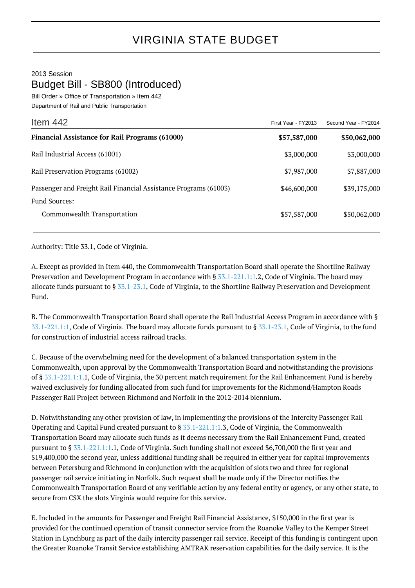2013 Session

Budget Bill - SB800 (Introduced)

Bill Order » Office of Transportation » Item 442 Department of Rail and Public Transportation

| Item $442$                                                       | First Year - FY2013 | Second Year - FY2014 |
|------------------------------------------------------------------|---------------------|----------------------|
| <b>Financial Assistance for Rail Programs (61000)</b>            | \$57,587,000        | \$50,062,000         |
| Rail Industrial Access (61001)                                   | \$3,000,000         | \$3,000,000          |
| Rail Preservation Programs (61002)                               | \$7,987,000         | \$7,887,000          |
| Passenger and Freight Rail Financial Assistance Programs (61003) | \$46,600,000        | \$39,175,000         |
| <b>Fund Sources:</b>                                             |                     |                      |
| Commonwealth Transportation                                      | \$57,587,000        | \$50,062,000         |

Authority: Title 33.1, Code of Virginia.

A. Except as provided in Item 440, the Commonwealth Transportation Board shall operate the Shortline Railway Preservation and Development Program in accordance with § [33.1-221.1:1.](http://law.lis.virginia.gov/vacode/33.1-221.1:1/)2, Code of Virginia. The board may allocate funds pursuant to § [33.1-23.1](http://law.lis.virginia.gov/vacode/33.1-23.1/), Code of Virginia, to the Shortline Railway Preservation and Development Fund.

B. The Commonwealth Transportation Board shall operate the Rail Industrial Access Program in accordance with § [33.1-221.1:1](http://law.lis.virginia.gov/vacode/33.1-221.1:1/), Code of Virginia. The board may allocate funds pursuant to § [33.1-23.1](http://law.lis.virginia.gov/vacode/33.1-23.1/), Code of Virginia, to the fund for construction of industrial access railroad tracks.

C. Because of the overwhelming need for the development of a balanced transportation system in the Commonwealth, upon approval by the Commonwealth Transportation Board and notwithstanding the provisions of § [33.1-221.1:1.](http://law.lis.virginia.gov/vacode/33.1-221.1:1/)1, Code of Virginia, the 30 percent match requirement for the Rail Enhancement Fund is hereby waived exclusively for funding allocated from such fund for improvements for the Richmond/Hampton Roads Passenger Rail Project between Richmond and Norfolk in the 2012-2014 biennium.

D. Notwithstanding any other provision of law, in implementing the provisions of the Intercity Passenger Rail Operating and Capital Fund created pursuant to  $\S 33.1-221.1:1.3$  $\S 33.1-221.1:1.3$  $\S 33.1-221.1:1.3$ , Code of Virginia, the Commonwealth Transportation Board may allocate such funds as it deems necessary from the Rail Enhancement Fund, created pursuant to § [33.1-221.1:1.](http://law.lis.virginia.gov/vacode/33.1-221.1:1/)1, Code of Virginia. Such funding shall not exceed \$6,700,000 the first year and \$19,400,000 the second year, unless additional funding shall be required in either year for capital improvements between Petersburg and Richmond in conjunction with the acquisition of slots two and three for regional passenger rail service initiating in Norfolk. Such request shall be made only if the Director notifies the Commonwealth Transportation Board of any verifiable action by any federal entity or agency, or any other state, to secure from CSX the slots Virginia would require for this service.

E. Included in the amounts for Passenger and Freight Rail Financial Assistance, \$150,000 in the first year is provided for the continued operation of transit connector service from the Roanoke Valley to the Kemper Street Station in Lynchburg as part of the daily intercity passenger rail service. Receipt of this funding is contingent upon the Greater Roanoke Transit Service establishing AMTRAK reservation capabilities for the daily service. It is the